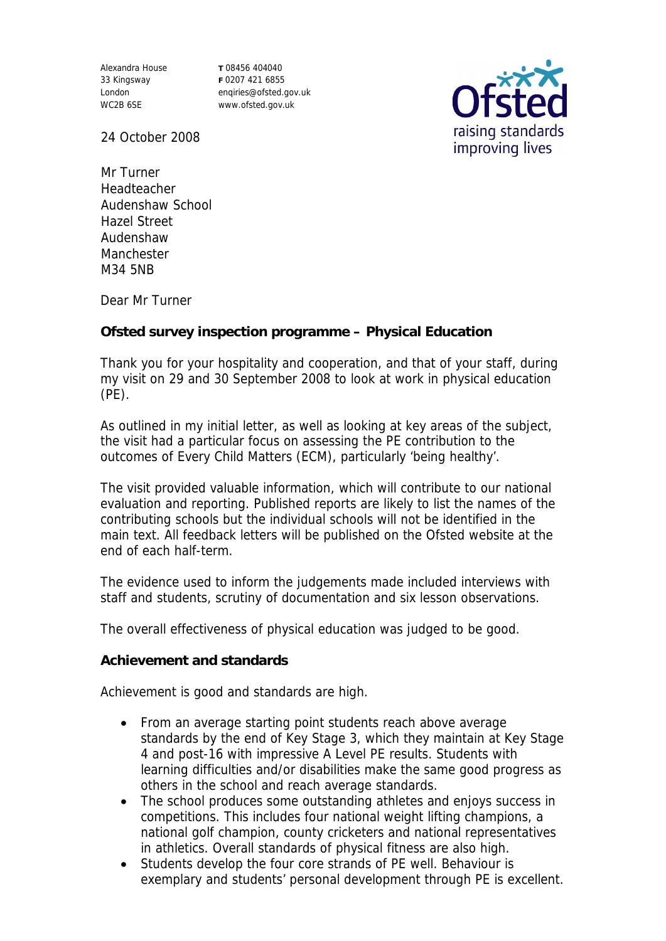Alexandra House 33 Kingsway London WC2B 6SE

**T** 08456 404040 **F** 0207 421 6855 enqiries@ofsted.gov.uk www.ofsted.gov.uk



24 October 2008

Mr Turner Headteacher Audenshaw School Hazel Street Audenshaw **Manchester** M34 5NB

Dear Mr Turner

**Ofsted survey inspection programme – Physical Education**

Thank you for your hospitality and cooperation, and that of your staff, during my visit on 29 and 30 September 2008 to look at work in physical education (PE).

As outlined in my initial letter, as well as looking at key areas of the subject, the visit had a particular focus on assessing the PE contribution to the outcomes of Every Child Matters (ECM), particularly 'being healthy'.

The visit provided valuable information, which will contribute to our national evaluation and reporting. Published reports are likely to list the names of the contributing schools but the individual schools will not be identified in the main text. All feedback letters will be published on the Ofsted website at the end of each half-term.

The evidence used to inform the judgements made included interviews with staff and students, scrutiny of documentation and six lesson observations.

The overall effectiveness of physical education was judged to be good.

**Achievement and standards**

Achievement is good and standards are high.

- From an average starting point students reach above average standards by the end of Key Stage 3, which they maintain at Key Stage 4 and post-16 with impressive A Level PE results. Students with learning difficulties and/or disabilities make the same good progress as others in the school and reach average standards.
- The school produces some outstanding athletes and enjoys success in competitions. This includes four national weight lifting champions, a national golf champion, county cricketers and national representatives in athletics. Overall standards of physical fitness are also high.
- Students develop the four core strands of PE well. Behaviour is exemplary and students' personal development through PE is excellent.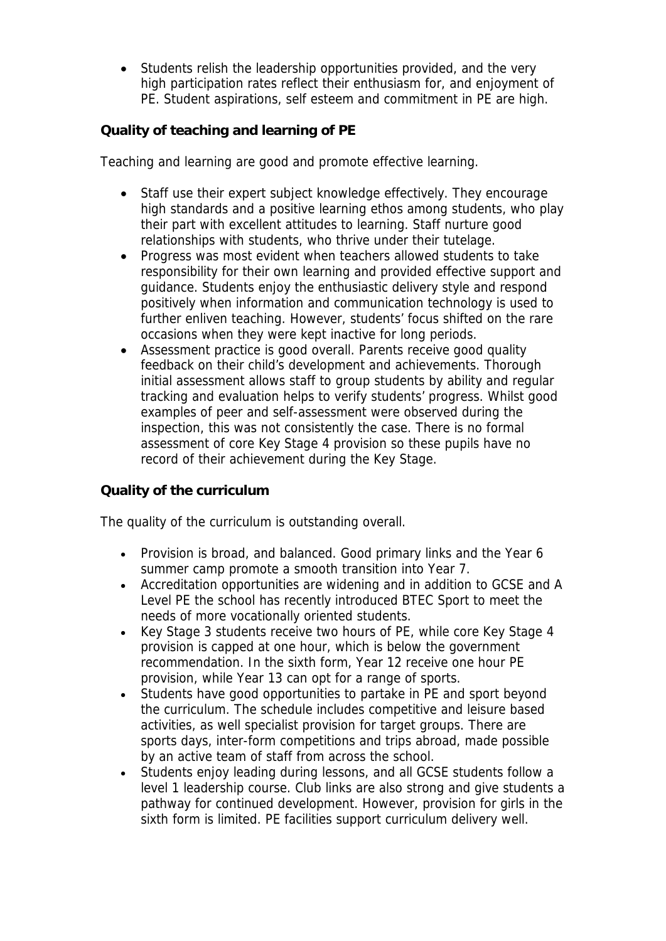Students relish the leadership opportunities provided, and the very high participation rates reflect their enthusiasm for, and enjoyment of PE. Student aspirations, self esteem and commitment in PE are high.

**Quality of teaching and learning of PE**

Teaching and learning are good and promote effective learning.

- Staff use their expert subject knowledge effectively. They encourage high standards and a positive learning ethos among students, who play their part with excellent attitudes to learning. Staff nurture good relationships with students, who thrive under their tutelage.
- Progress was most evident when teachers allowed students to take responsibility for their own learning and provided effective support and guidance. Students enjoy the enthusiastic delivery style and respond positively when information and communication technology is used to further enliven teaching. However, students' focus shifted on the rare occasions when they were kept inactive for long periods.
- Assessment practice is good overall. Parents receive good quality feedback on their child's development and achievements. Thorough initial assessment allows staff to group students by ability and regular tracking and evaluation helps to verify students' progress. Whilst good examples of peer and self-assessment were observed during the inspection, this was not consistently the case. There is no formal assessment of core Key Stage 4 provision so these pupils have no record of their achievement during the Key Stage.

**Quality of the curriculum**

The quality of the curriculum is outstanding overall.

- Provision is broad, and balanced. Good primary links and the Year 6 summer camp promote a smooth transition into Year 7.
- Accreditation opportunities are widening and in addition to GCSE and A Level PE the school has recently introduced BTEC Sport to meet the needs of more vocationally oriented students.
- Key Stage 3 students receive two hours of PE, while core Key Stage 4 provision is capped at one hour, which is below the government recommendation. In the sixth form, Year 12 receive one hour PE provision, while Year 13 can opt for a range of sports.
- Students have good opportunities to partake in PE and sport beyond the curriculum. The schedule includes competitive and leisure based activities, as well specialist provision for target groups. There are sports days, inter-form competitions and trips abroad, made possible by an active team of staff from across the school.
- Students enjoy leading during lessons, and all GCSE students follow a level 1 leadership course. Club links are also strong and give students a pathway for continued development. However, provision for girls in the sixth form is limited. PE facilities support curriculum delivery well.